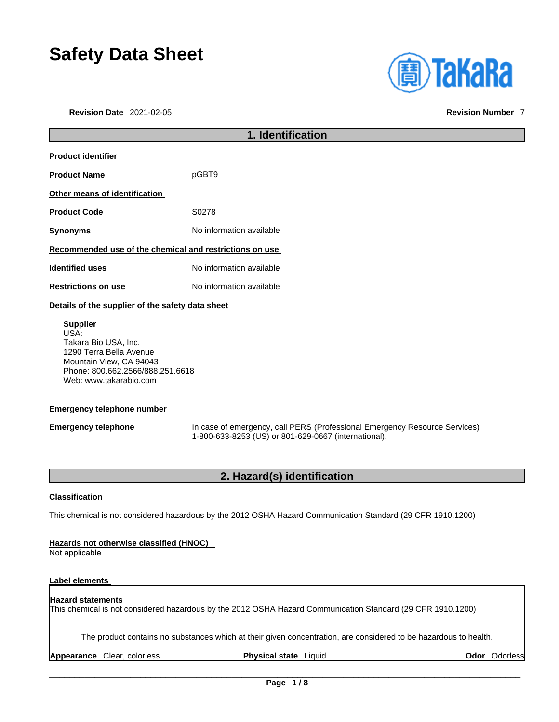# **Safety Data Sheet**

|                                 | liely Dala Əli <del>c</del> el | <b>(A) TakaRa</b>        |
|---------------------------------|--------------------------------|--------------------------|
| <b>Revision Date 2021-02-05</b> |                                | <b>Revision Number 7</b> |

| 1. Identification                                                                                                                                                             |                                                                                                                                    |
|-------------------------------------------------------------------------------------------------------------------------------------------------------------------------------|------------------------------------------------------------------------------------------------------------------------------------|
| <b>Product identifier</b>                                                                                                                                                     |                                                                                                                                    |
| <b>Product Name</b>                                                                                                                                                           | pGBT9                                                                                                                              |
| Other means of identification                                                                                                                                                 |                                                                                                                                    |
| <b>Product Code</b>                                                                                                                                                           | S0278                                                                                                                              |
| <b>Synonyms</b>                                                                                                                                                               | No information available                                                                                                           |
| Recommended use of the chemical and restrictions on use                                                                                                                       |                                                                                                                                    |
| <b>Identified uses</b>                                                                                                                                                        | No information available                                                                                                           |
| <b>Restrictions on use</b>                                                                                                                                                    | No information available                                                                                                           |
| Details of the supplier of the safety data sheet                                                                                                                              |                                                                                                                                    |
| Takara Bio USA, Inc.<br>1290 Terra Bella Avenue<br>Mountain View, CA 94043<br>Phone: 800.662.2566/888.251.6618<br>Web: www.takarabio.com<br><b>Emergency telephone number</b> |                                                                                                                                    |
| <b>Emergency telephone</b>                                                                                                                                                    | In case of emergency, call PERS (Professional Emergency Resource Services)<br>1-800-633-8253 (US) or 801-629-0667 (international). |
|                                                                                                                                                                               | 2. Hazard(s) identification                                                                                                        |
| <b>Classification</b>                                                                                                                                                         |                                                                                                                                    |
|                                                                                                                                                                               | This chemical is not considered hazardous by the 2012 OSHA Hazard Communication Standard (29 CFR 1910.1200)                        |
| Hazards not otherwise classified (HNOC)<br>Not applicable                                                                                                                     |                                                                                                                                    |
| <b>Label elements</b>                                                                                                                                                         |                                                                                                                                    |
| <b>Hazard statements</b>                                                                                                                                                      | This chemical is not considered hazardous by the 2012 OSHA Hazard Communication Standard (29 CFR 1910.1200)                        |

The product contains no substances which at their given concentration, are considered to be hazardous to health.

**Appearance** Clear, colorless **Physical state** Liquid **Odor Odorless Odor** Odorless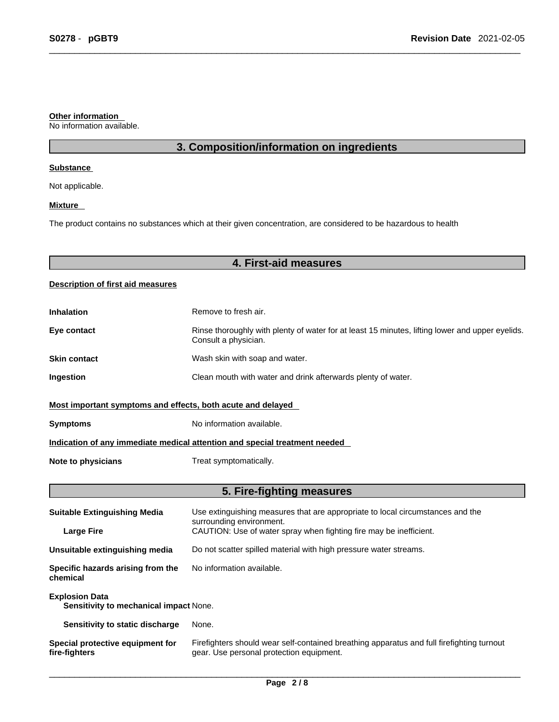#### **Other information**

No information available.

# **3. Composition/information on ingredients**

#### **Substance**

Not applicable.

#### **Mixture**

The product contains no substances which at their given concentration, are considered to be hazardous to health

# **4. First-aid measures**

#### **Description of first aid measures**

| <b>Inhalation</b>                                                          | Remove to fresh air.                                                                                                    |  |
|----------------------------------------------------------------------------|-------------------------------------------------------------------------------------------------------------------------|--|
| Eye contact                                                                | Rinse thoroughly with plenty of water for at least 15 minutes, lifting lower and upper eyelids.<br>Consult a physician. |  |
| <b>Skin contact</b>                                                        | Wash skin with soap and water.                                                                                          |  |
| <b>Ingestion</b>                                                           | Clean mouth with water and drink afterwards plenty of water.                                                            |  |
| Most important symptoms and effects, both acute and delayed                |                                                                                                                         |  |
| <b>Symptoms</b>                                                            | No information available.                                                                                               |  |
| Indication of any immediate medical attention and special treatment needed |                                                                                                                         |  |
| Note to physicians                                                         | Treat symptomatically.                                                                                                  |  |

# **5. Fire-fighting measures**

| <b>Suitable Extinguishing Media</b>                             | Use extinguishing measures that are appropriate to local circumstances and the<br>surrounding environment.                            |
|-----------------------------------------------------------------|---------------------------------------------------------------------------------------------------------------------------------------|
| <b>Large Fire</b>                                               | CAUTION: Use of water spray when fighting fire may be inefficient.                                                                    |
| Unsuitable extinguishing media                                  | Do not scatter spilled material with high pressure water streams.                                                                     |
| Specific hazards arising from the<br>chemical                   | No information available.                                                                                                             |
| <b>Explosion Data</b><br>Sensitivity to mechanical impact None. |                                                                                                                                       |
| Sensitivity to static discharge                                 | None.                                                                                                                                 |
| Special protective equipment for<br>fire-fighters               | Firefighters should wear self-contained breathing apparatus and full firefighting turnout<br>gear. Use personal protection equipment. |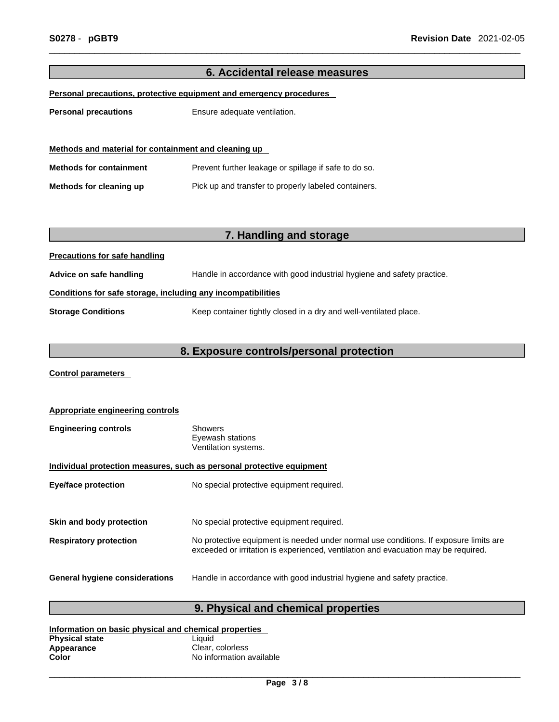# **6. Accidental release measures Personal precautions, protective equipment and emergency procedures Personal precautions** Ensure adequate ventilation. **Methods and material for containment and cleaning up Methods for containment** Prevent further leakage or spillage if safe to do so. **Methods for cleaning up** Pick up and transfer to properly labeled containers. **7. Handling and storage Precautions for safe handling Advice on safe handling** Handle in accordance with good industrial hygiene and safety practice. **Conditions for safe storage, including any incompatibilities Storage Conditions** Keep container tightly closed in a dry and well-ventilated place.

### **8. Exposure controls/personal protection**

**Control parameters** 

| <b>Appropriate engineering controls</b>                               |                                                                                                                                                                             |  |
|-----------------------------------------------------------------------|-----------------------------------------------------------------------------------------------------------------------------------------------------------------------------|--|
| <b>Engineering controls</b>                                           | <b>Showers</b><br>Eyewash stations<br>Ventilation systems.                                                                                                                  |  |
| Individual protection measures, such as personal protective equipment |                                                                                                                                                                             |  |
| <b>Eye/face protection</b>                                            | No special protective equipment required.                                                                                                                                   |  |
|                                                                       |                                                                                                                                                                             |  |
| Skin and body protection                                              | No special protective equipment required.                                                                                                                                   |  |
| <b>Respiratory protection</b>                                         | No protective equipment is needed under normal use conditions. If exposure limits are<br>exceeded or irritation is experienced, ventilation and evacuation may be required. |  |
| <b>General hygiene considerations</b>                                 | Handle in accordance with good industrial hygiene and safety practice.                                                                                                      |  |

# **9. Physical and chemical properties**

| Information on basic physical and chemical properties |                          |  |
|-------------------------------------------------------|--------------------------|--|
| <b>Physical state</b>                                 | Liauid                   |  |
| Appearance                                            | Clear, colorless         |  |
| Color                                                 | No information available |  |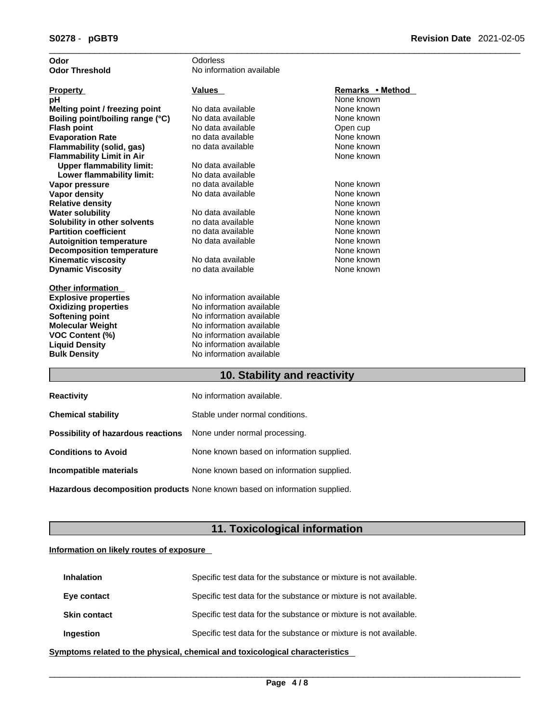| Odor                             | Odorless                      |                          |
|----------------------------------|-------------------------------|--------------------------|
| <b>Odor Threshold</b>            | No information available      |                          |
|                                  |                               |                          |
| <b>Property</b>                  | <b>Values</b>                 | Remarks • Method         |
| рH                               |                               | None known               |
| Melting point / freezing point   | No data available             | None known               |
| Boiling point/boiling range (°C) | No data available             | None known               |
| <b>Flash point</b>               | No data available             | Open cup                 |
| <b>Evaporation Rate</b>          | no data available             | None known               |
| Flammability (solid, gas)        | no data available             | None known               |
| <b>Flammability Limit in Air</b> |                               | None known               |
| <b>Upper flammability limit:</b> | No data available             |                          |
| Lower flammability limit:        | No data available             |                          |
| Vapor pressure                   | no data available             | None known               |
| <b>Vapor density</b>             | No data available             | None known               |
| <b>Relative density</b>          |                               | None known               |
| <b>Water solubility</b>          | No data available             | None known               |
| Solubility in other solvents     | no data available             | None known               |
| <b>Partition coefficient</b>     | no data available             | None known               |
| <b>Autoignition temperature</b>  | No data available             | None known               |
| <b>Decomposition temperature</b> |                               | None known               |
| <b>Kinematic viscosity</b>       | No data available             | None known               |
| <b>Dynamic Viscosity</b>         | no data available             | None known               |
| <b>Other information</b>         |                               |                          |
| <b>Explosive properties</b>      | No information available      |                          |
| <b>Oxidizing properties</b>      | No information available      |                          |
| Softening point                  | No information available      |                          |
| <b>Molecular Weight</b>          | No information available      |                          |
| <b>VOC Content (%)</b>           | No information available      |                          |
| <b>Liquid Density</b>            | No information available      |                          |
| <b>Bulk Density</b>              | No information available      |                          |
|                                  | $100 - 21111$<br>$\mathbf{r}$ | $\mathbf{r}$ . The state |

#### **10. Stability and reactivity**

| <b>Reactivity</b>                                                       | No information available.                 |
|-------------------------------------------------------------------------|-------------------------------------------|
| <b>Chemical stability</b>                                               | Stable under normal conditions.           |
| <b>Possibility of hazardous reactions</b> None under normal processing. |                                           |
| <b>Conditions to Avoid</b>                                              | None known based on information supplied. |
| Incompatible materials                                                  | None known based on information supplied. |
|                                                                         |                                           |

**Hazardous decomposition products** None known based on information supplied.

# **11. Toxicological information**

#### **Information on likely routes of exposure**

| <b>Inhalation</b>   | Specific test data for the substance or mixture is not available. |
|---------------------|-------------------------------------------------------------------|
| Eye contact         | Specific test data for the substance or mixture is not available. |
| <b>Skin contact</b> | Specific test data for the substance or mixture is not available. |
| <b>Ingestion</b>    | Specific test data for the substance or mixture is not available. |

**<u>Symptoms related to the physical, chemical and toxicological characteristics</u>**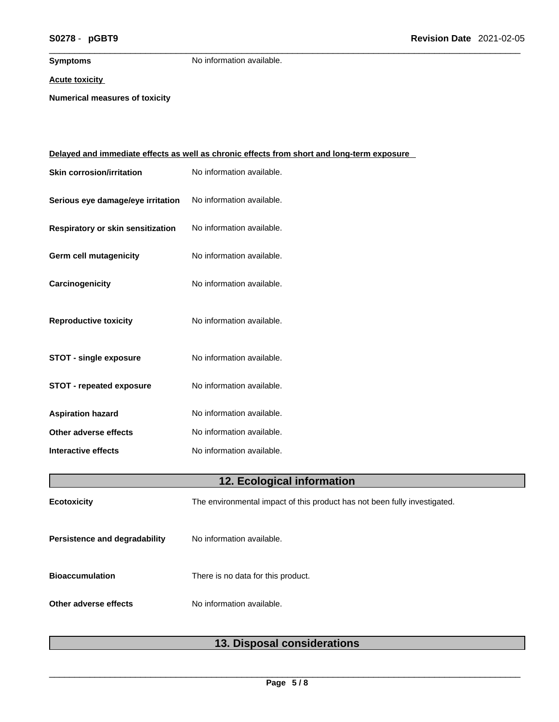**Symptoms** No information available.

#### **Acute toxicity**

**Numerical measures of toxicity**

| <u>Delayed and immediate effects as well as chronic effects from short and long-term exposure</u> |                                                                           |  |
|---------------------------------------------------------------------------------------------------|---------------------------------------------------------------------------|--|
| <b>Skin corrosion/irritation</b>                                                                  | No information available.                                                 |  |
| Serious eye damage/eye irritation                                                                 | No information available.                                                 |  |
| Respiratory or skin sensitization                                                                 | No information available.                                                 |  |
| Germ cell mutagenicity                                                                            | No information available.                                                 |  |
| Carcinogenicity                                                                                   | No information available.                                                 |  |
| <b>Reproductive toxicity</b>                                                                      | No information available.                                                 |  |
| <b>STOT - single exposure</b>                                                                     | No information available.                                                 |  |
| <b>STOT - repeated exposure</b>                                                                   | No information available.                                                 |  |
| <b>Aspiration hazard</b>                                                                          | No information available.                                                 |  |
| Other adverse effects                                                                             | No information available.                                                 |  |
| <b>Interactive effects</b>                                                                        | No information available.                                                 |  |
|                                                                                                   | 12. Ecological information                                                |  |
| <b>Ecotoxicity</b>                                                                                | The environmental impact of this product has not been fully investigated. |  |
| Persistence and degradability                                                                     | No information available.                                                 |  |
| <b>Bioaccumulation</b>                                                                            | There is no data for this product.                                        |  |
| Other adverse effects                                                                             | No information available.                                                 |  |

|  | 13. Disposal considerations |
|--|-----------------------------|
|--|-----------------------------|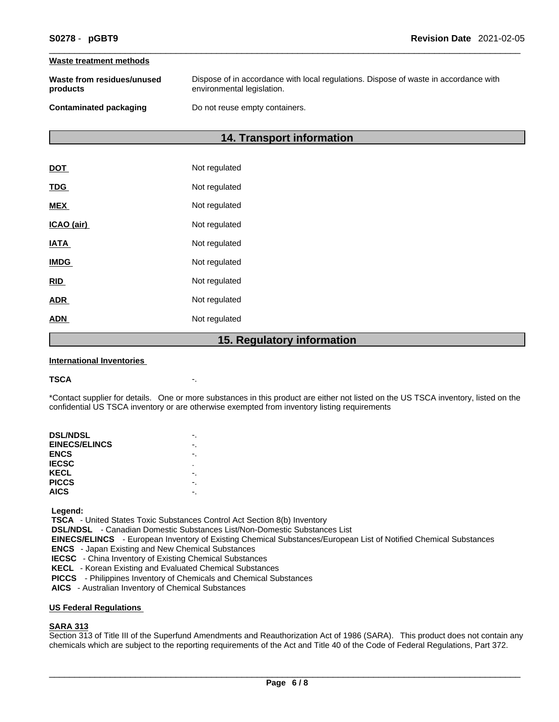#### **Waste treatment methods**

| Waste from residues/unused    | Dispose of in accordance with local regulations. Dispose of waste in accordance with |
|-------------------------------|--------------------------------------------------------------------------------------|
| products                      | environmental legislation.                                                           |
| <b>Contaminated packaging</b> | Do not reuse empty containers.                                                       |

## **14. Transport information**

|             | 1 R I<br><b>Pagulator</b> |
|-------------|---------------------------|
| <b>ADN</b>  | Not regulated             |
| <b>ADR</b>  | Not regulated             |
| <b>RID</b>  | Not regulated             |
| <b>IMDG</b> | Not regulated             |
| <u>IATA</u> | Not regulated             |
| ICAO (air)  | Not regulated             |
| <b>MEX</b>  | Not regulated             |
| <b>TDG</b>  | Not regulated             |
| <b>DOT</b>  | Not regulated             |

### **15. Regulatory information**

#### **International Inventories**

#### **TSCA** -.

\*Contact supplier for details. One or more substances in this product are either not listed on the US TSCA inventory, listed on the confidential US TSCA inventory or are otherwise exempted from inventory listing requirements

| <b>DSL/NDSL</b>      |    |
|----------------------|----|
| <b>EINECS/ELINCS</b> | -. |
| <b>ENCS</b>          |    |
| <b>IECSC</b>         | ٠  |
| KECL                 |    |
| <b>PICCS</b>         |    |
| <b>AICS</b>          |    |
|                      |    |

 **Legend:** 

 **TSCA** - United States Toxic Substances Control Act Section 8(b) Inventory

 **DSL/NDSL** - Canadian Domestic Substances List/Non-Domestic Substances List

 **EINECS/ELINCS** - European Inventory of Existing Chemical Substances/European List of Notified Chemical Substances

 **ENCS** - Japan Existing and New Chemical Substances

 **IECSC** - China Inventory of Existing Chemical Substances

 **KECL** - Korean Existing and Evaluated Chemical Substances

 **PICCS** - Philippines Inventory of Chemicals and Chemical Substances

 **AICS** - Australian Inventory of Chemical Substances

#### **US Federal Regulations**

#### **SARA 313**

Section 313 of Title III of the Superfund Amendments and Reauthorization Act of 1986 (SARA). This product does not contain any chemicals which are subject to the reporting requirements of the Act and Title 40 of the Code of Federal Regulations, Part 372.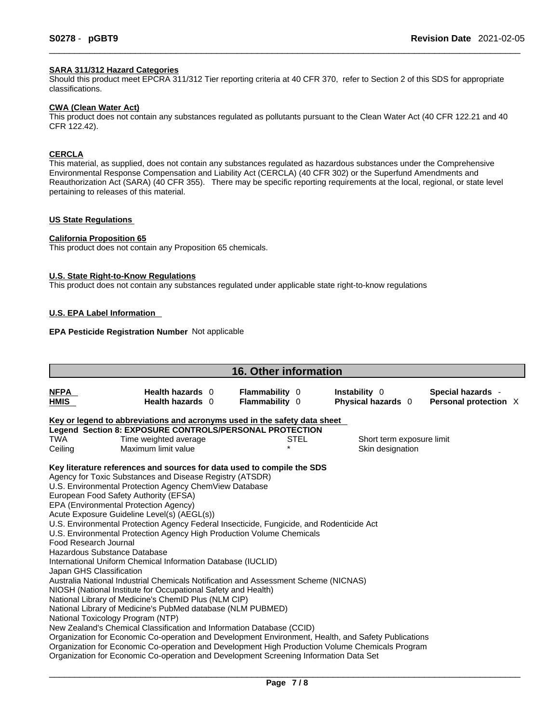#### **SARA 311/312 Hazard Categories**

Should this product meet EPCRA 311/312 Tier reporting criteria at 40 CFR 370, refer to Section 2 of this SDS for appropriate classifications.

#### **CWA (Clean WaterAct)**

This product does not contain any substances regulated as pollutants pursuant to the Clean Water Act (40 CFR 122.21 and 40 CFR 122.42).

#### **CERCLA**

This material, as supplied, does not contain any substances regulated as hazardous substances under the Comprehensive Environmental Response Compensation and Liability Act (CERCLA) (40 CFR 302) or the Superfund Amendments and Reauthorization Act (SARA) (40 CFR 355). There may be specific reporting requirements at the local, regional, or state level pertaining to releases of this material.

#### **US State Regulations**

#### **California Proposition 65**

This product does not contain any Proposition 65 chemicals.

#### **U.S. State Right-to-Know Regulations**

This product does not contain any substances regulated under applicable state right-to-know regulations

#### **U.S. EPA Label Information**

#### **EPA Pesticide Registration Number** Not applicable